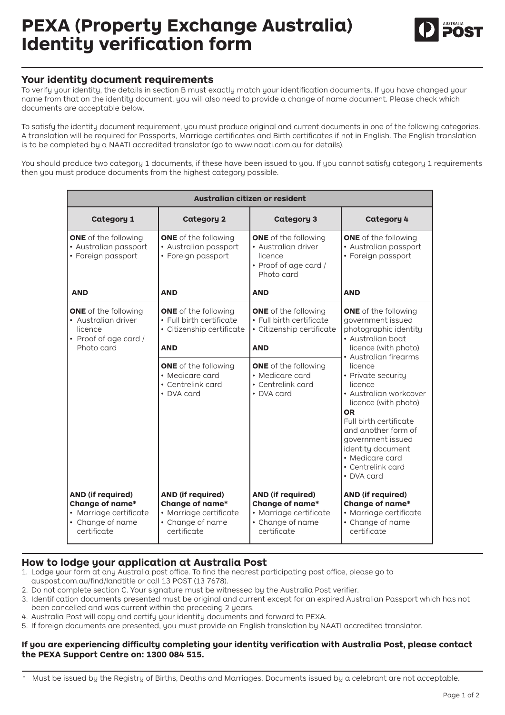# **PEXA (Property Exchange Australia) Identity verification form**



### **Your identity document requirements**

To verify your identity, the details in section B must exactly match your identification documents. If you have changed your name from that on the identity document, you will also need to provide a change of name document. Please check which documents are acceptable below.

To satisfy the identity document requirement, you must produce original and current documents in one of the following categories. A translation will be required for Passports, Marriage certificates and Birth certificates if not in English. The English translation is to be completed by a NAATI accredited translator (go to www.naati.com.au for details).

You should produce two category 1 documents, if these have been issued to you. If you cannot satisfy category 1 requirements then you must produce documents from the highest category possible.

| Australian citizen or resident                                                                                  |                                                                                                                 |                                                                                                                 |                                                                                                                                                                                                                                                                                                                                                                                                             |  |  |  |
|-----------------------------------------------------------------------------------------------------------------|-----------------------------------------------------------------------------------------------------------------|-----------------------------------------------------------------------------------------------------------------|-------------------------------------------------------------------------------------------------------------------------------------------------------------------------------------------------------------------------------------------------------------------------------------------------------------------------------------------------------------------------------------------------------------|--|--|--|
| <b>Category 1</b>                                                                                               | <b>Category 2</b>                                                                                               | <b>Category 3</b>                                                                                               | <b>Category 4</b>                                                                                                                                                                                                                                                                                                                                                                                           |  |  |  |
| <b>ONE</b> of the following<br>• Australian passport<br>• Foreign passport                                      | <b>ONE</b> of the following<br>• Australian passport<br>• Foreign passport                                      | <b>ONE</b> of the following<br>• Australian driver<br>licence<br>• Proof of age card /<br>Photo card            | <b>ONE</b> of the following<br>• Australian passport<br>• Foreign passport                                                                                                                                                                                                                                                                                                                                  |  |  |  |
| <b>AND</b>                                                                                                      | <b>AND</b>                                                                                                      | <b>AND</b>                                                                                                      | <b>AND</b>                                                                                                                                                                                                                                                                                                                                                                                                  |  |  |  |
| <b>ONE</b> of the following<br>• Australian driver<br>licence<br>• Proof of age card /<br>Photo card            | <b>ONE</b> of the following<br>• Full birth certificate<br>• Citizenship certificate<br><b>AND</b>              | <b>ONE</b> of the following<br>• Full birth certificate<br>• Citizenship certificate<br><b>AND</b>              | <b>ONE</b> of the following<br>government issued<br>photographic identity<br>• Australian boat<br>licence (with photo)<br>• Australian firearms<br>licence<br>• Private security<br>licence<br>• Australian workcover<br>licence (with photo)<br><b>OR</b><br>Full birth certificate<br>and another form of<br>government issued<br>identity document<br>• Medicare card<br>• Centrelink card<br>• DVA card |  |  |  |
|                                                                                                                 | <b>ONE</b> of the following<br>• Medicare card<br>• Centrelink card<br>• DVA card                               | <b>ONE</b> of the following<br>• Medicare card<br>• Centrelink card<br>• DVA card                               |                                                                                                                                                                                                                                                                                                                                                                                                             |  |  |  |
| <b>AND (if required)</b><br><b>Change of name*</b><br>· Marriage certificate<br>• Change of name<br>certificate | <b>AND (if required)</b><br><b>Change of name*</b><br>· Marriage certificate<br>• Change of name<br>certificate | <b>AND (if required)</b><br><b>Change of name*</b><br>· Marriage certificate<br>• Change of name<br>certificate | <b>AND (if required)</b><br><b>Change of name*</b><br>· Marriage certificate<br>• Change of name<br>certificate                                                                                                                                                                                                                                                                                             |  |  |  |

### **How to lodge your application at Australia Post**

- 1. Lodge your form at any Australia post office. To find the nearest participating post office, please go to auspost.com.au/find/landtitle or call 13 POST (13 7678).
- 2. Do not complete section C. Your signature must be witnessed by the Australia Post verifier.
- 3. Identification documents presented must be original and current except for an expired Australian Passport which has not been cancelled and was current within the preceding 2 years.
- 4. Australia Post will copy and certify your identity documents and forward to PEXA.
- 5. If foreign documents are presented, you must provide an English translation by NAATI accredited translator.

#### **If you are experiencing difficulty completing your identity verification with Australia Post, please contact the PEXA Support Centre on: 1300 084 515.**

\* Must be issued by the Registry of Births, Deaths and Marriages. Documents issued by a celebrant are not acceptable.